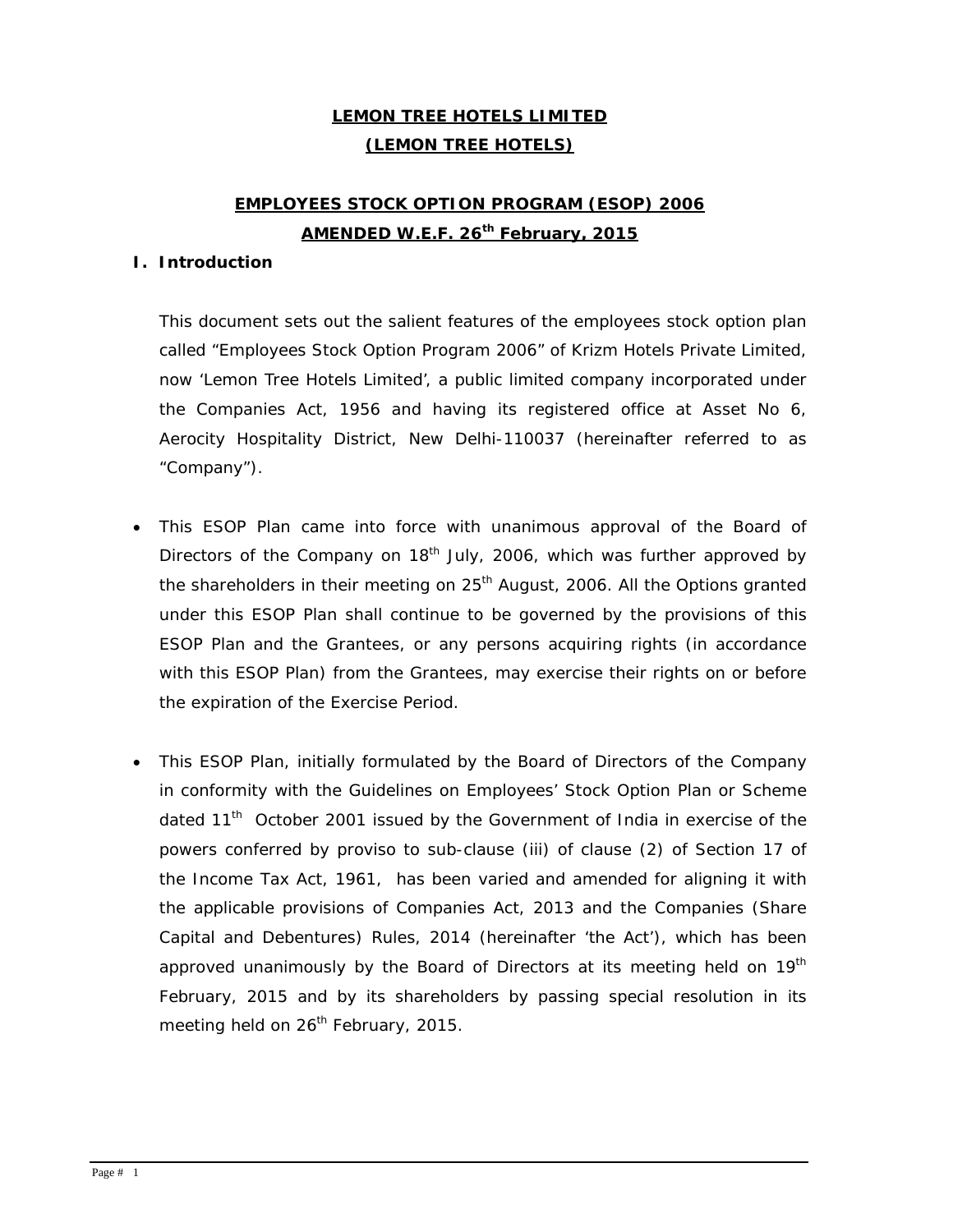# **LEMON TREE HOTELS LIMITED (LEMON TREE HOTELS)**

## **EMPLOYEES STOCK OPTION PROGRAM (ESOP) 2006 AMENDED W.E.F. 26th February, 2015**

#### **I. Introduction**

This document sets out the salient features of the employees stock option plan called "Employees Stock Option Program 2006" of Krizm Hotels Private Limited, now 'Lemon Tree Hotels Limited', a public limited company incorporated under the Companies Act, 1956 and having its registered office at Asset No 6, Aerocity Hospitality District, New Delhi-110037 (hereinafter referred to as "Company").

- This ESOP Plan came into force with unanimous approval of the Board of Directors of the Company on  $18<sup>th</sup>$  July, 2006, which was further approved by the shareholders in their meeting on  $25<sup>th</sup>$  August, 2006. All the Options granted under this ESOP Plan shall continue to be governed by the provisions of this ESOP Plan and the Grantees, or any persons acquiring rights (in accordance with this ESOP Plan) from the Grantees, may exercise their rights on or before the expiration of the Exercise Period.
- This ESOP Plan, initially formulated by the Board of Directors of the Company in conformity with the Guidelines on Employees' Stock Option Plan or Scheme dated  $11<sup>th</sup>$  October 2001 issued by the Government of India in exercise of the powers conferred by proviso to sub-clause (iii) of clause (2) of Section 17 of the Income Tax Act, 1961, has been varied and amended for aligning it with the applicable provisions of Companies Act, 2013 and the Companies (Share Capital and Debentures) Rules, 2014 (hereinafter 'the Act'), which has been approved unanimously by the Board of Directors at its meeting held on 19<sup>th</sup> February, 2015 and by its shareholders by passing special resolution in its meeting held on 26<sup>th</sup> February, 2015.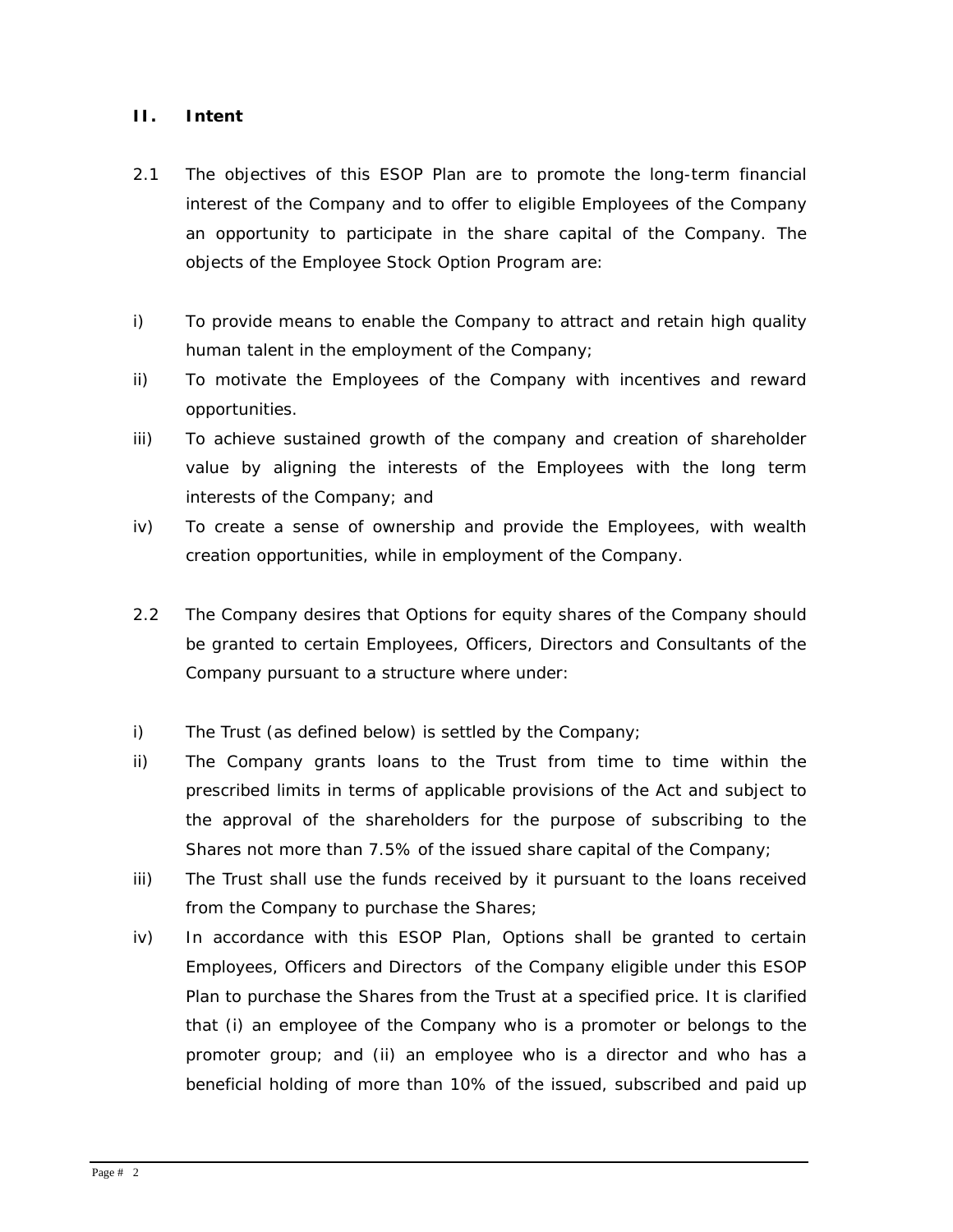#### **II. Intent**

- 2.1 The objectives of this ESOP Plan are to promote the long-term financial interest of the Company and to offer to eligible Employees of the Company an opportunity to participate in the share capital of the Company. The objects of the Employee Stock Option Program are:
- i) To provide means to enable the Company to attract and retain high quality human talent in the employment of the Company;
- ii) To motivate the Employees of the Company with incentives and reward opportunities.
- iii) To achieve sustained growth of the company and creation of shareholder value by aligning the interests of the Employees with the long term interests of the Company; and
- iv) To create a sense of ownership and provide the Employees, with wealth creation opportunities, while in employment of the Company.
- 2.2 The Company desires that Options for equity shares of the Company should be granted to certain Employees, Officers, Directors and Consultants of the Company pursuant to a structure where under:
- i) The Trust (as defined below) is settled by the Company;
- ii) The Company grants loans to the Trust from time to time within the prescribed limits in terms of applicable provisions of the Act and subject to the approval of the shareholders for the purpose of subscribing to the Shares not more than 7.5% of the issued share capital of the Company;
- iii) The Trust shall use the funds received by it pursuant to the loans received from the Company to purchase the Shares;
- iv) In accordance with this ESOP Plan, Options shall be granted to certain Employees, Officers and Directors of the Company eligible under this ESOP Plan to purchase the Shares from the Trust at a specified price. It is clarified that (i) an employee of the Company who is a promoter or belongs to the promoter group; and (ii) an employee who is a director and who has a beneficial holding of more than 10% of the issued, subscribed and paid up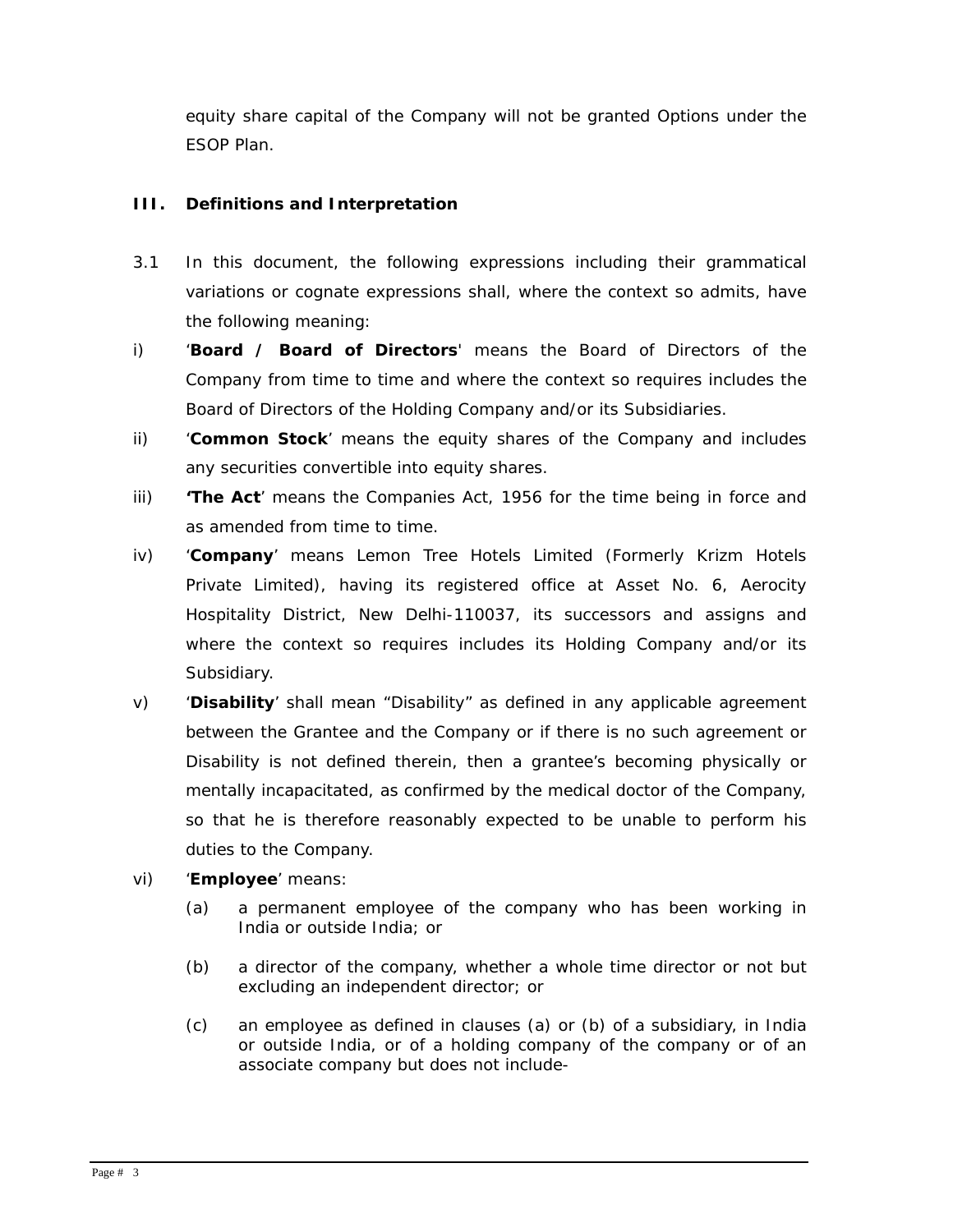equity share capital of the Company will not be granted Options under the ESOP Plan.

## **III. Definitions and Interpretation**

- 3.1 In this document, the following expressions including their grammatical variations or cognate expressions shall, where the context so admits, have the following meaning:
- i) '**Board / Board of Directors**' means the Board of Directors of the Company from time to time and where the context so requires includes the Board of Directors of the Holding Company and/or its Subsidiaries.
- ii) '**Common Stock**' means the equity shares of the Company and includes any securities convertible into equity shares.
- iii) **'The Act**' means the Companies Act, 1956 for the time being in force and as amended from time to time.
- iv) '**Company**' means Lemon Tree Hotels Limited (Formerly Krizm Hotels Private Limited), having its registered office at Asset No. 6, Aerocity Hospitality District, New Delhi-110037, its successors and assigns and where the context so requires includes its Holding Company and/or its Subsidiary.
- v) '**Disability**' shall mean "Disability" as defined in any applicable agreement between the Grantee and the Company or if there is no such agreement or Disability is not defined therein, then a grantee's becoming physically or mentally incapacitated, as confirmed by the medical doctor of the Company, so that he is therefore reasonably expected to be unable to perform his duties to the Company.
- vi) '**Employee**' means:
	- (a) a permanent employee of the company who has been working in India or outside India; or
	- (b) a director of the company, whether a whole time director or not but excluding an independent director; or
	- (c) an employee as defined in clauses (a) or (b) of a subsidiary, in India or outside India, or of a holding company of the company or of an associate company but does not include-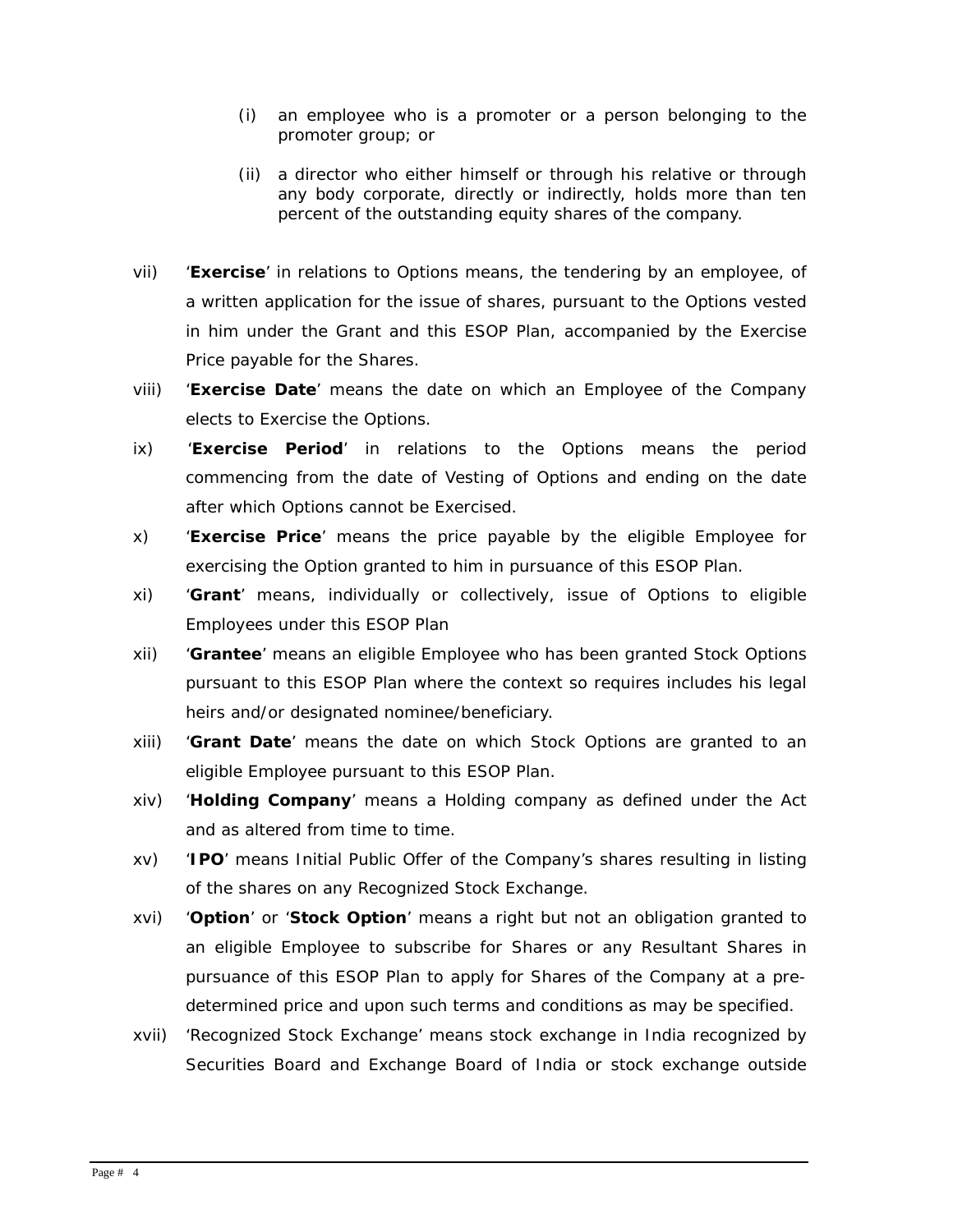- (i) an employee who is a promoter or a person belonging to the promoter group; or
- (ii) a director who either himself or through his relative or through any body corporate, directly or indirectly, holds more than ten percent of the outstanding equity shares of the company.
- vii) '**Exercise**' in relations to Options means, the tendering by an employee, of a written application for the issue of shares, pursuant to the Options vested in him under the Grant and this ESOP Plan, accompanied by the Exercise Price payable for the Shares.
- viii) '**Exercise Date**' means the date on which an Employee of the Company elects to Exercise the Options.
- ix) '**Exercise Period**' in relations to the Options means the period commencing from the date of Vesting of Options and ending on the date after which Options cannot be Exercised.
- x) '**Exercise Price**' means the price payable by the eligible Employee for exercising the Option granted to him in pursuance of this ESOP Plan.
- xi) '**Grant**' means, individually or collectively, issue of Options to eligible Employees under this ESOP Plan
- xii) '**Grantee**' means an eligible Employee who has been granted Stock Options pursuant to this ESOP Plan where the context so requires includes his legal heirs and/or designated nominee/beneficiary.
- xiii) '**Grant Date**' means the date on which Stock Options are granted to an eligible Employee pursuant to this ESOP Plan.
- xiv) '**Holding Company**' means a Holding company as defined under the Act and as altered from time to time.
- xv) '**IPO**' means Initial Public Offer of the Company's shares resulting in listing of the shares on any Recognized Stock Exchange.
- xvi) '**Option**' or '**Stock Option**' means a right but not an obligation granted to an eligible Employee to subscribe for Shares or any Resultant Shares in pursuance of this ESOP Plan to apply for Shares of the Company at a predetermined price and upon such terms and conditions as may be specified.
- xvii) 'Recognized Stock Exchange' means stock exchange in India recognized by Securities Board and Exchange Board of India or stock exchange outside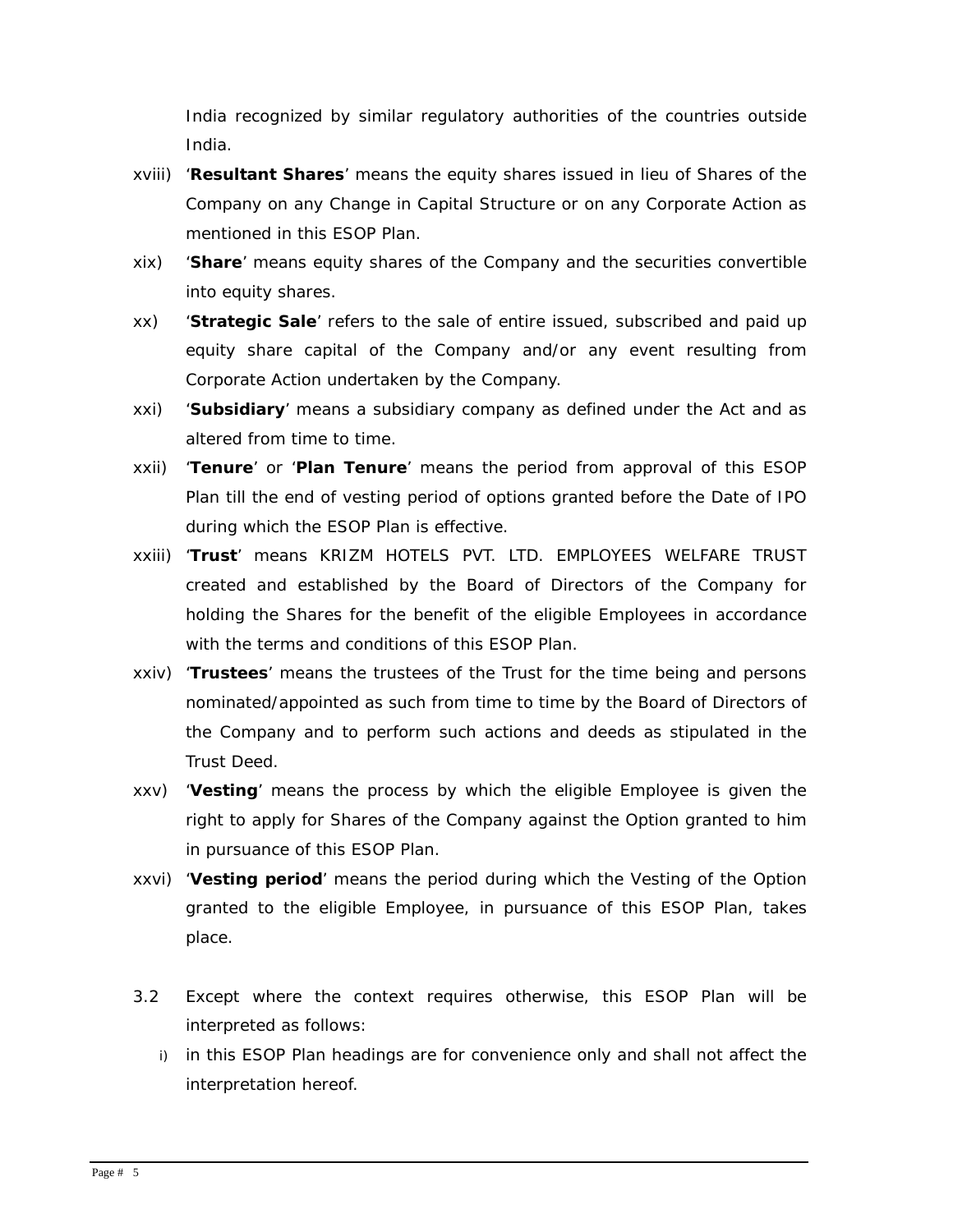India recognized by similar regulatory authorities of the countries outside India.

- xviii) '**Resultant Shares**' means the equity shares issued in lieu of Shares of the Company on any Change in Capital Structure or on any Corporate Action as mentioned in this ESOP Plan.
- xix) '**Share**' means equity shares of the Company and the securities convertible into equity shares.
- xx) '**Strategic Sale**' refers to the sale of entire issued, subscribed and paid up equity share capital of the Company and/or any event resulting from Corporate Action undertaken by the Company.
- xxi) '**Subsidiary**' means a subsidiary company as defined under the Act and as altered from time to time.
- xxii) '**Tenure**' or '**Plan Tenure**' means the period from approval of this ESOP Plan till the end of vesting period of options granted before the Date of IPO during which the ESOP Plan is effective.
- xxiii) '**Trust**' means KRIZM HOTELS PVT. LTD. EMPLOYEES WELFARE TRUST created and established by the Board of Directors of the Company for holding the Shares for the benefit of the eligible Employees in accordance with the terms and conditions of this ESOP Plan.
- xxiv) '**Trustees**' means the trustees of the Trust for the time being and persons nominated/appointed as such from time to time by the Board of Directors of the Company and to perform such actions and deeds as stipulated in the Trust Deed.
- xxv) '**Vesting**' means the process by which the eligible Employee is given the right to apply for Shares of the Company against the Option granted to him in pursuance of this ESOP Plan.
- xxvi) '**Vesting period**' means the period during which the Vesting of the Option granted to the eligible Employee, in pursuance of this ESOP Plan, takes place.
- 3.2 Except where the context requires otherwise, this ESOP Plan will be interpreted as follows:
	- i) in this ESOP Plan headings are for convenience only and shall not affect the interpretation hereof.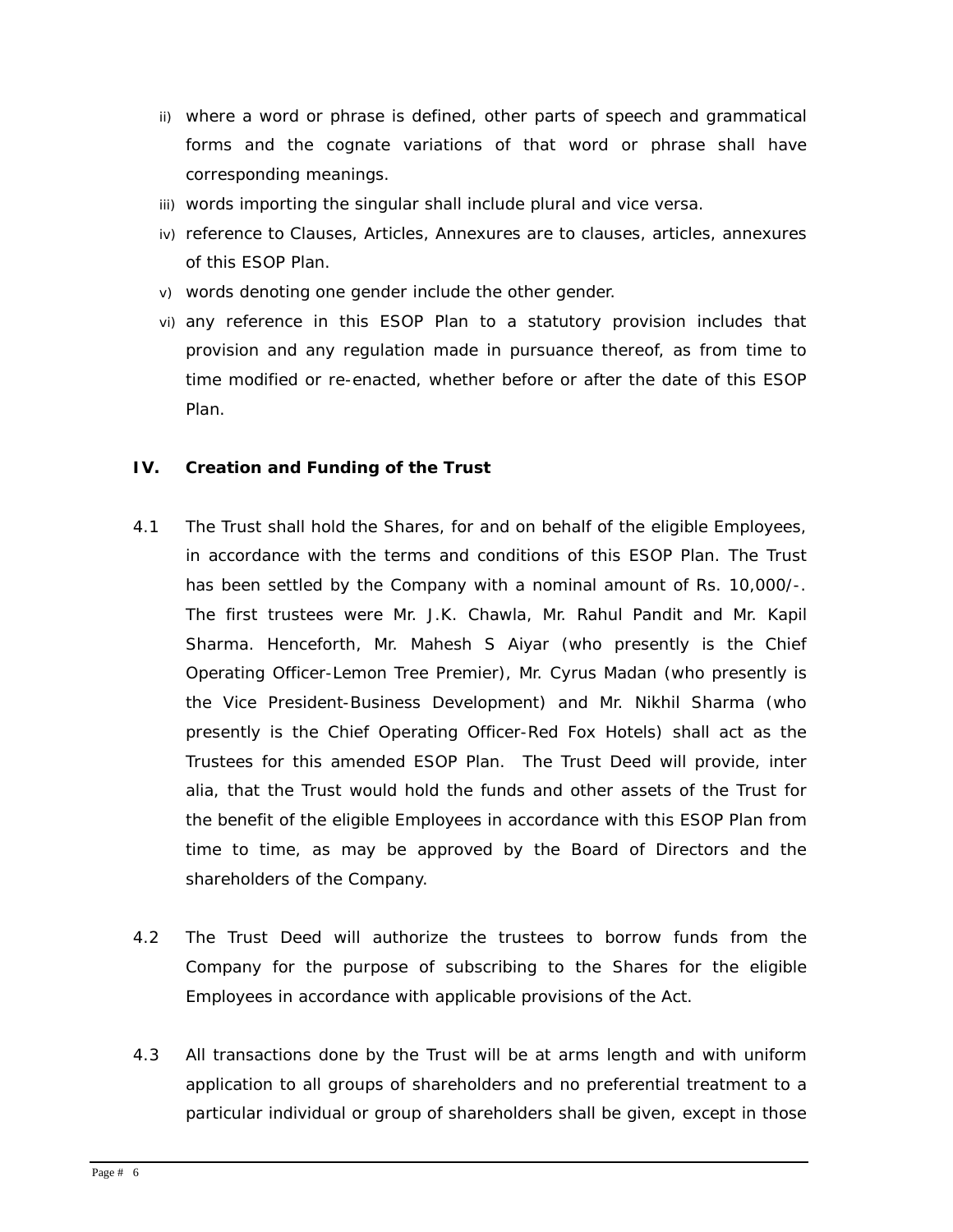- ii) where a word or phrase is defined, other parts of speech and grammatical forms and the cognate variations of that word or phrase shall have corresponding meanings.
- iii) words importing the singular shall include plural and vice versa.
- iv) reference to Clauses, Articles, Annexures are to clauses, articles, annexures of this ESOP Plan.
- v) words denoting one gender include the other gender.
- vi) any reference in this ESOP Plan to a statutory provision includes that provision and any regulation made in pursuance thereof, as from time to time modified or re-enacted, whether before or after the date of this ESOP Plan.

#### **IV. Creation and Funding of the Trust**

- 4.1 The Trust shall hold the Shares, for and on behalf of the eligible Employees, in accordance with the terms and conditions of this ESOP Plan. The Trust has been settled by the Company with a nominal amount of Rs. 10,000/-. The first trustees were Mr. J.K. Chawla, Mr. Rahul Pandit and Mr. Kapil Sharma. Henceforth, Mr. Mahesh S Aiyar (who presently is the Chief Operating Officer-Lemon Tree Premier), Mr. Cyrus Madan (who presently is the Vice President-Business Development) and Mr. Nikhil Sharma (who presently is the Chief Operating Officer-Red Fox Hotels) shall act as the Trustees for this amended ESOP Plan. The Trust Deed will provide, inter alia, that the Trust would hold the funds and other assets of the Trust for the benefit of the eligible Employees in accordance with this ESOP Plan from time to time, as may be approved by the Board of Directors and the shareholders of the Company.
- 4.2 The Trust Deed will authorize the trustees to borrow funds from the Company for the purpose of subscribing to the Shares for the eligible Employees in accordance with applicable provisions of the Act.
- 4.3 All transactions done by the Trust will be at arms length and with uniform application to all groups of shareholders and no preferential treatment to a particular individual or group of shareholders shall be given, except in those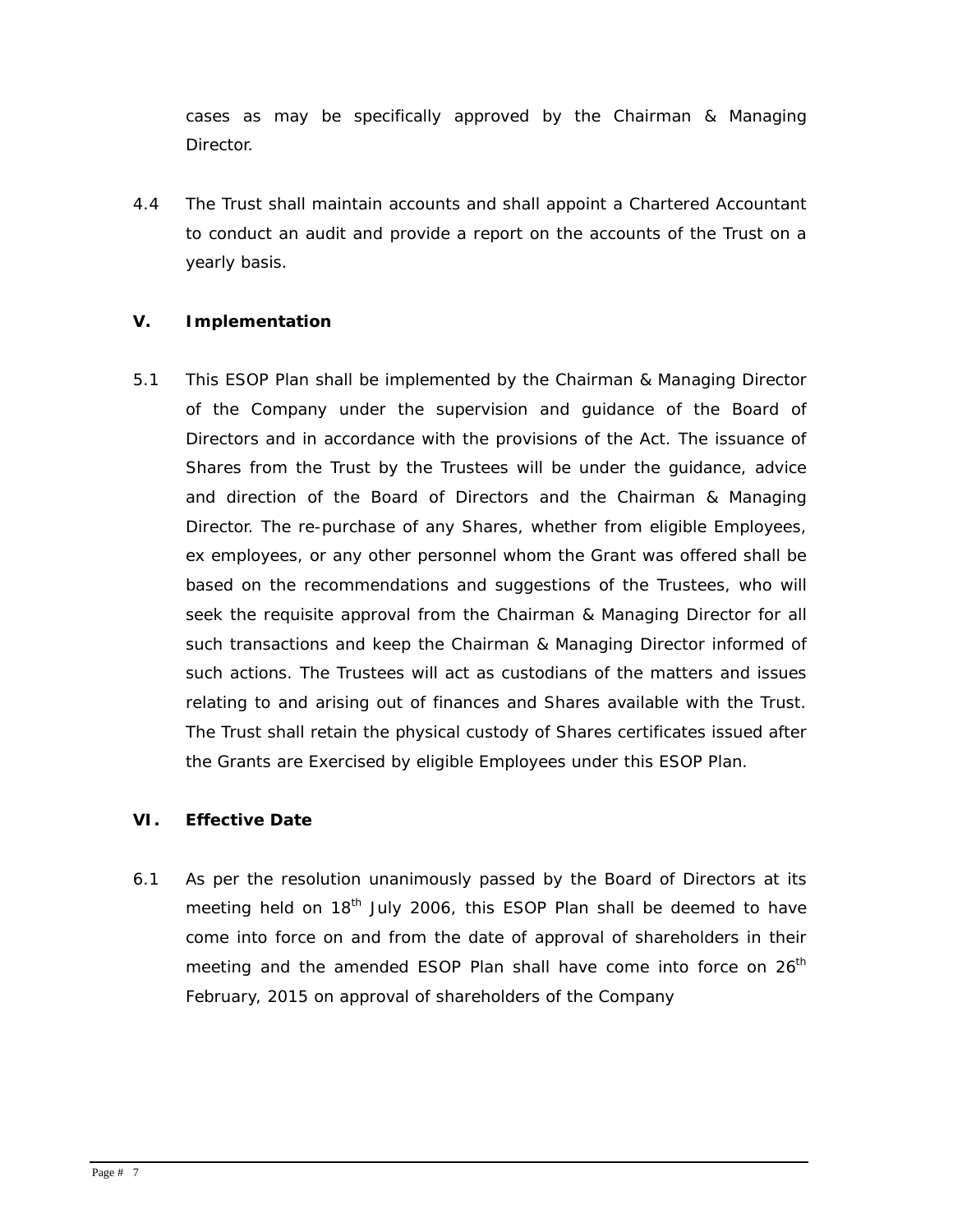cases as may be specifically approved by the Chairman & Managing **Director** 

4.4 The Trust shall maintain accounts and shall appoint a Chartered Accountant to conduct an audit and provide a report on the accounts of the Trust on a yearly basis.

## **V. Implementation**

5.1 This ESOP Plan shall be implemented by the Chairman & Managing Director of the Company under the supervision and guidance of the Board of Directors and in accordance with the provisions of the Act. The issuance of Shares from the Trust by the Trustees will be under the guidance, advice and direction of the Board of Directors and the Chairman & Managing Director. The re-purchase of any Shares, whether from eligible Employees, ex employees, or any other personnel whom the Grant was offered shall be based on the recommendations and suggestions of the Trustees, who will seek the requisite approval from the Chairman & Managing Director for all such transactions and keep the Chairman & Managing Director informed of such actions. The Trustees will act as custodians of the matters and issues relating to and arising out of finances and Shares available with the Trust. The Trust shall retain the physical custody of Shares certificates issued after the Grants are Exercised by eligible Employees under this ESOP Plan.

## **VI. Effective Date**

6.1 As per the resolution unanimously passed by the Board of Directors at its meeting held on  $18<sup>th</sup>$  July 2006, this ESOP Plan shall be deemed to have come into force on and from the date of approval of shareholders in their meeting and the amended ESOP Plan shall have come into force on  $26<sup>th</sup>$ February, 2015 on approval of shareholders of the Company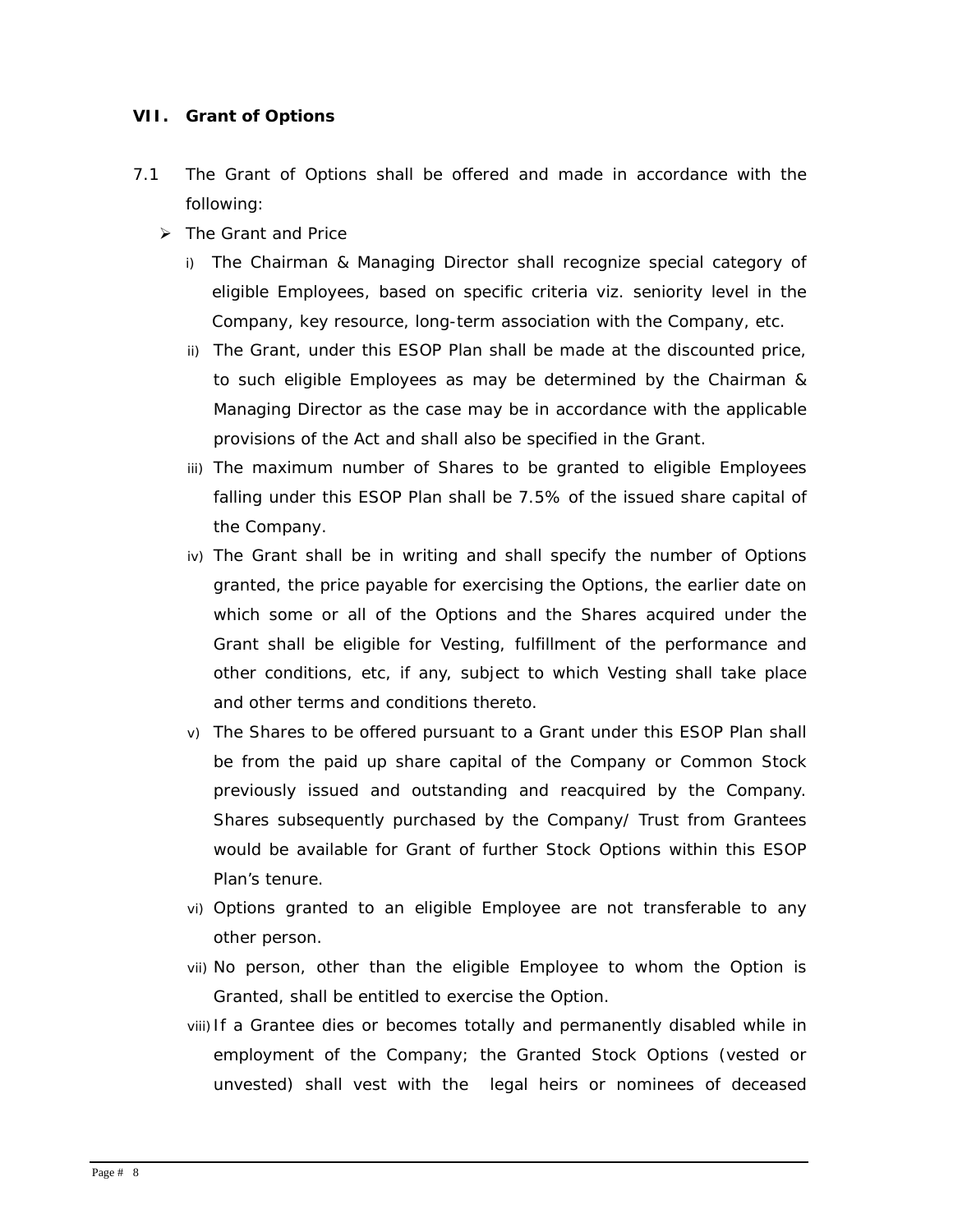#### **VII. Grant of Options**

- 7.1 The Grant of Options shall be offered and made in accordance with the following:
	- ¾ *The Grant and Price* 
		- i) The Chairman & Managing Director shall recognize special category of eligible Employees, based on specific criteria viz. seniority level in the Company, key resource, long-term association with the Company, etc.
		- ii) The Grant, under this ESOP Plan shall be made at the discounted price, to such eligible Employees as may be determined by the Chairman & Managing Director as the case may be in accordance with the applicable provisions of the Act and shall also be specified in the Grant.
		- iii) The maximum number of Shares to be granted to eligible Employees falling under this ESOP Plan shall be 7.5% of the issued share capital of the Company.
		- iv) The Grant shall be in writing and shall specify the number of Options granted, the price payable for exercising the Options, the earlier date on which some or all of the Options and the Shares acquired under the Grant shall be eligible for Vesting, fulfillment of the performance and other conditions, etc, if any, subject to which Vesting shall take place and other terms and conditions thereto.
		- v) The Shares to be offered pursuant to a Grant under this ESOP Plan shall be from the paid up share capital of the Company or Common Stock previously issued and outstanding and reacquired by the Company. Shares subsequently purchased by the Company/ Trust from Grantees would be available for Grant of further Stock Options within this ESOP Plan's tenure.
		- vi) Options granted to an eligible Employee are not transferable to any other person.
		- vii) No person, other than the eligible Employee to whom the Option is Granted, shall be entitled to exercise the Option.
		- viii) If a Grantee dies or becomes totally and permanently disabled while in employment of the Company; the Granted Stock Options (vested or unvested) shall vest with the legal heirs or nominees of deceased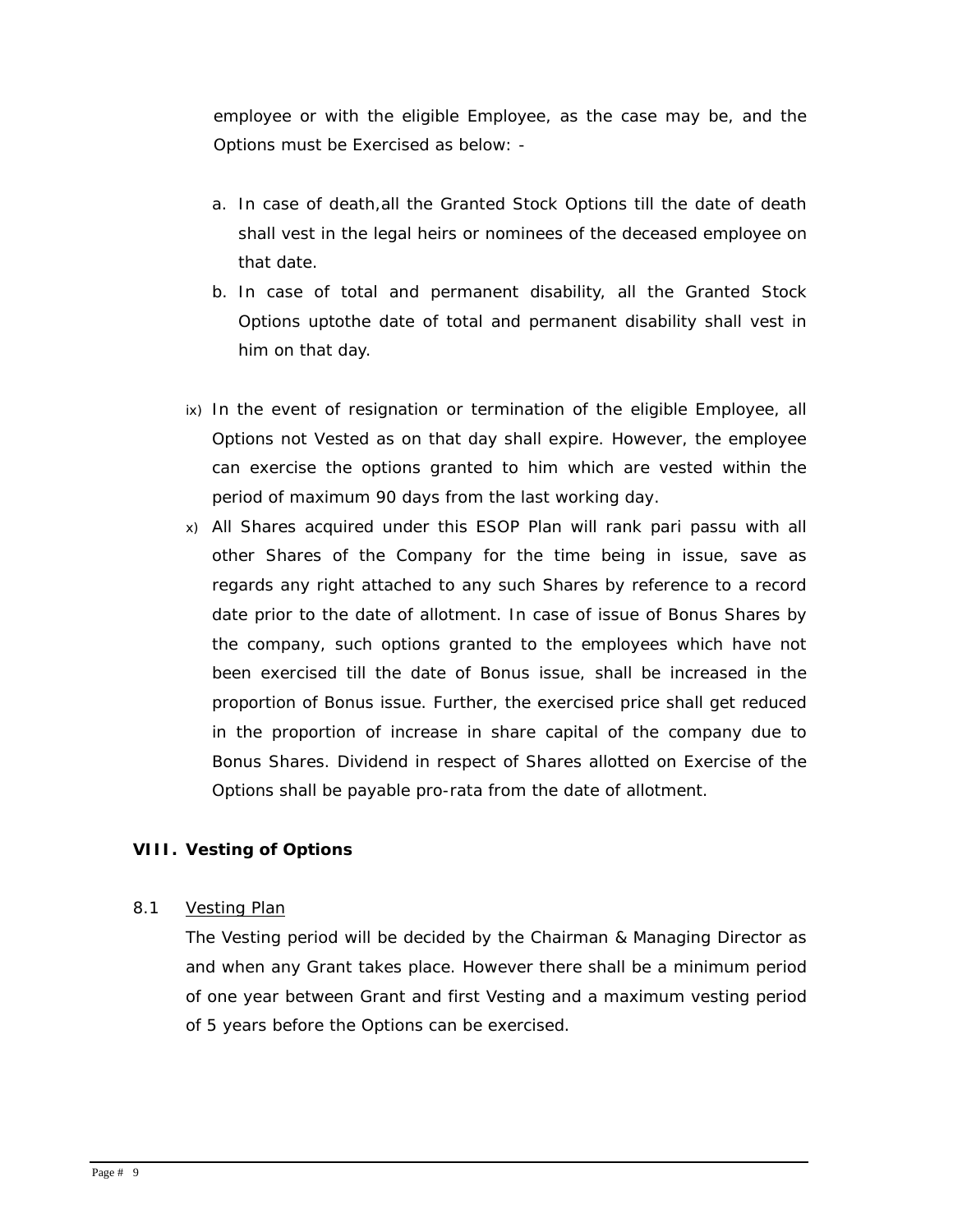employee or with the eligible Employee, as the case may be, and the Options must be Exercised as below: -

- a. In case of death,all the Granted Stock Options till the date of death shall vest in the legal heirs or nominees of the deceased employee on that date.
- b. In case of total and permanent disability, all the Granted Stock Options uptothe date of total and permanent disability shall vest in him on that day.
- ix) In the event of resignation or termination of the eligible Employee, all Options not Vested as on that day shall expire. However, the employee can exercise the options granted to him which are vested within the period of maximum 90 days from the last working day.
- x) All Shares acquired under this ESOP Plan will rank pari passu with all other Shares of the Company for the time being in issue, save as regards any right attached to any such Shares by reference to a record date prior to the date of allotment. In case of issue of Bonus Shares by the company, such options granted to the employees which have not been exercised till the date of Bonus issue, shall be increased in the proportion of Bonus issue. Further, the exercised price shall get reduced in the proportion of increase in share capital of the company due to Bonus Shares. Dividend in respect of Shares allotted on Exercise of the Options shall be payable pro-rata from the date of allotment.

## **VIII. Vesting of Options**

#### 8.1 *Vesting Plan*

The Vesting period will be decided by the Chairman & Managing Director as and when any Grant takes place. However there shall be a minimum period of one year between Grant and first Vesting and a maximum vesting period of 5 years before the Options can be exercised.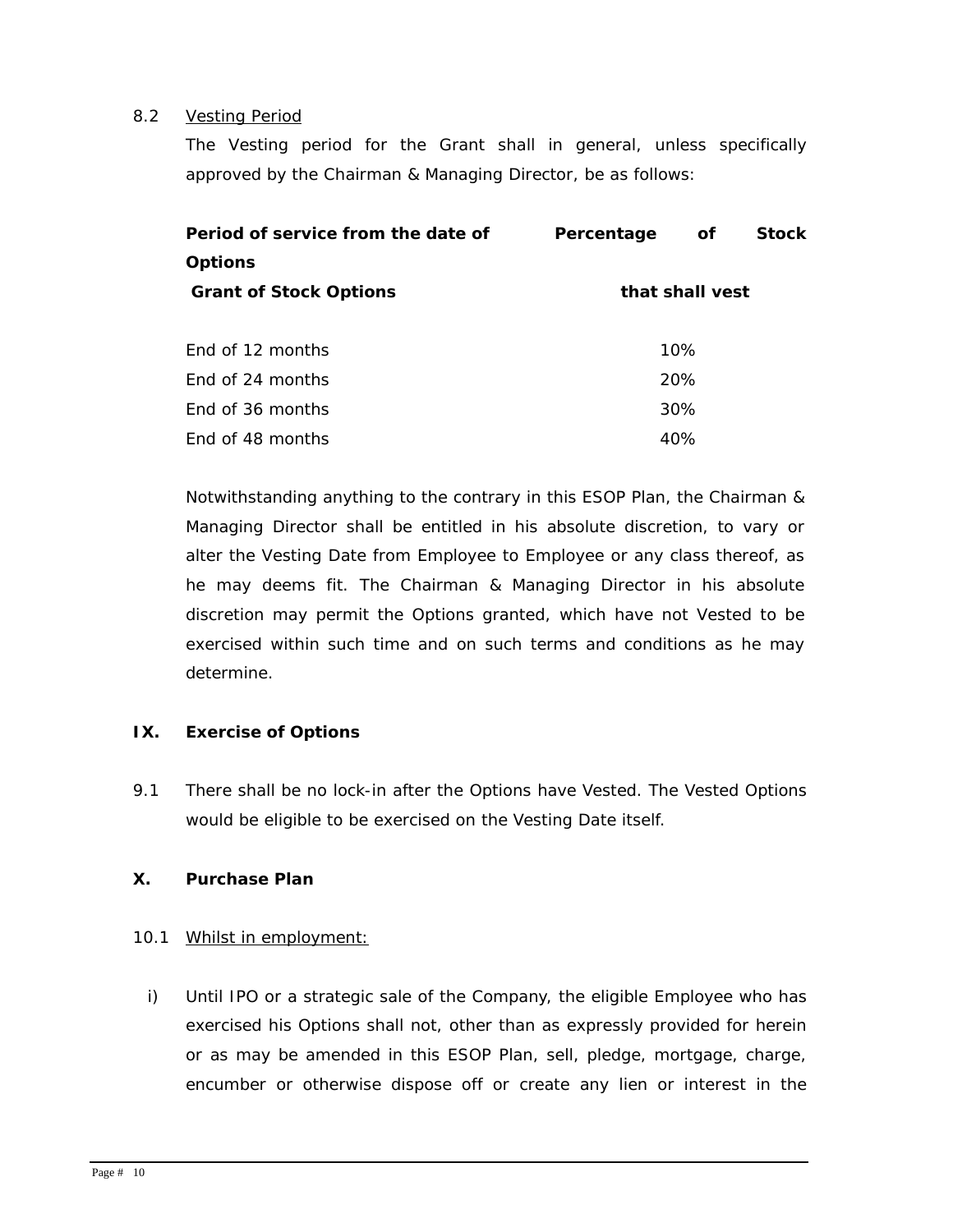#### 8.2 *Vesting Period*

The Vesting period for the Grant shall in general, unless specifically approved by the Chairman & Managing Director, be as follows:

| Period of service from the date of | Percentage      | οf  | <b>Stock</b> |
|------------------------------------|-----------------|-----|--------------|
| <b>Options</b>                     |                 |     |              |
| <b>Grant of Stock Options</b>      | that shall vest |     |              |
|                                    |                 |     |              |
| Fnd of 12 months                   | 10%             |     |              |
| End of 24 months                   |                 | 20% |              |
| End of 36 months                   |                 | 30% |              |
| End of 48 months                   |                 | 40% |              |

Notwithstanding anything to the contrary in this ESOP Plan, the Chairman & Managing Director shall be entitled in his absolute discretion, to vary or alter the Vesting Date from Employee to Employee or any class thereof, as he may deems fit. The Chairman & Managing Director in his absolute discretion may permit the Options granted, which have not Vested to be exercised within such time and on such terms and conditions as he may determine.

## **IX. Exercise of Options**

9.1 There shall be no lock-in after the Options have Vested. The Vested Options would be eligible to be exercised on the Vesting Date itself.

## **X. Purchase Plan**

## 10.1 Whilst in employment:

i) Until IPO or a strategic sale of the Company, the eligible Employee who has exercised his Options shall not, other than as expressly provided for herein or as may be amended in this ESOP Plan, sell, pledge, mortgage, charge, encumber or otherwise dispose off or create any lien or interest in the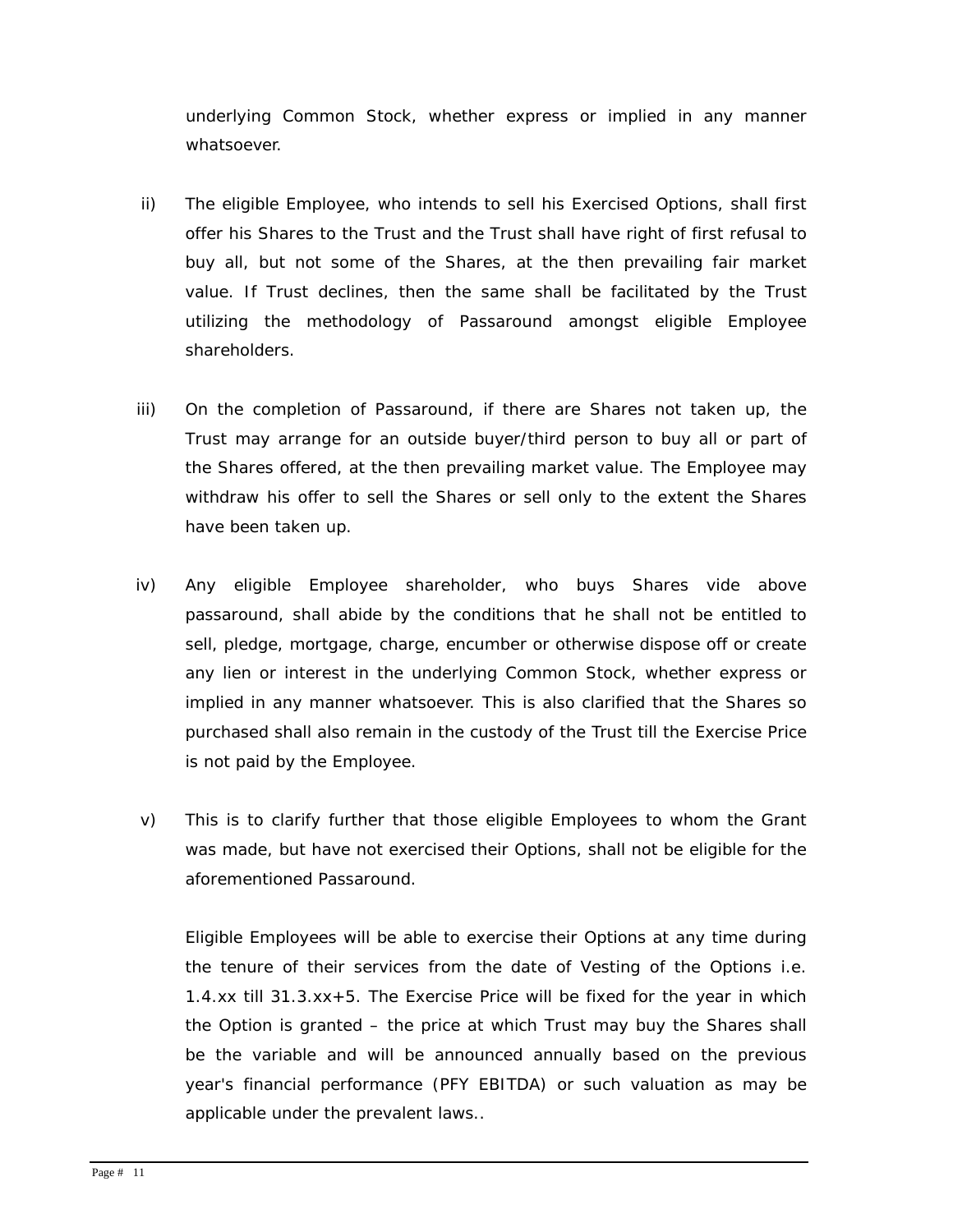underlying Common Stock, whether express or implied in any manner whatsoever.

- ii) The eligible Employee, who intends to sell his Exercised Options, shall first offer his Shares to the Trust and the Trust shall have right of first refusal to buy all, but not some of the Shares, at the then prevailing fair market value. If Trust declines, then the same shall be facilitated by the Trust utilizing the methodology of Passaround amongst eligible Employee shareholders.
- iii) On the completion of Passaround, if there are Shares not taken up, the Trust may arrange for an outside buyer/third person to buy all or part of the Shares offered, at the then prevailing market value. The Employee may withdraw his offer to sell the Shares or sell only to the extent the Shares have been taken up.
- iv) Any eligible Employee shareholder, who buys Shares vide above passaround, shall abide by the conditions that he shall not be entitled to sell, pledge, mortgage, charge, encumber or otherwise dispose off or create any lien or interest in the underlying Common Stock, whether express or implied in any manner whatsoever. This is also clarified that the Shares so purchased shall also remain in the custody of the Trust till the Exercise Price is not paid by the Employee.
- v) This is to clarify further that those eligible Employees to whom the Grant was made, but have not exercised their Options, shall not be eligible for the aforementioned Passaround.

Eligible Employees will be able to exercise their Options at any time during the tenure of their services from the date of Vesting of the Options i.e. 1.4.xx till 31.3.xx+5. The E*xercise Price will be fixed for the year in which the Option is granted – the price at which Trust may buy the Shares shall be the variable* and will be announced annually based on the previous year's financial performance (PFY EBITDA) or such valuation as may be applicable under the prevalent laws..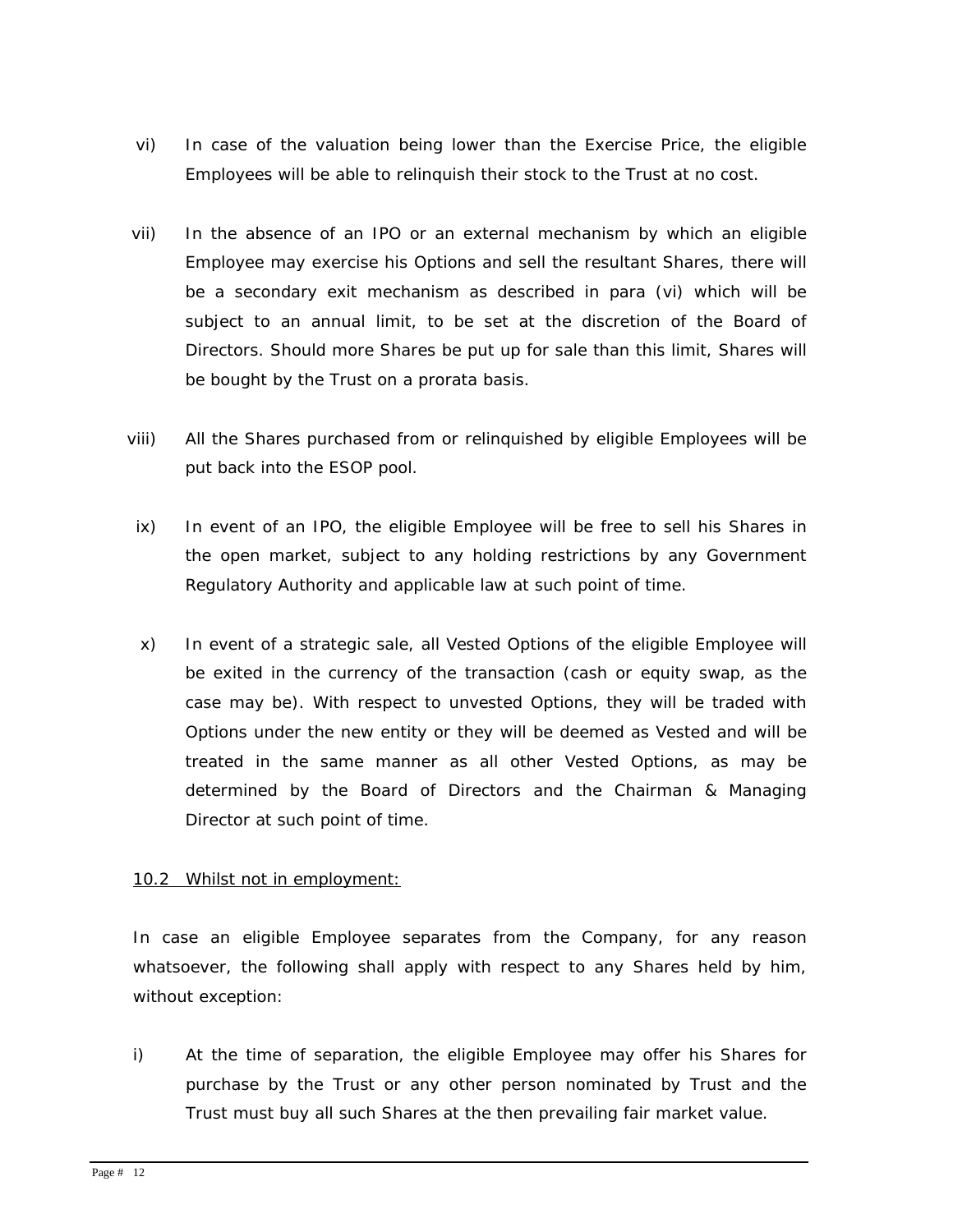- vi) In case of the valuation being lower than the Exercise Price, the eligible Employees will be able to relinquish their stock to the Trust at no cost.
- vii) In the absence of an IPO or an external mechanism by which an eligible Employee may exercise his Options and sell the resultant Shares, there will be a secondary exit mechanism as described in para (vi) which will be subject to an annual limit, to be set at the discretion of the Board of Directors. Should more Shares be put up for sale than this limit, Shares will be bought by the Trust on a prorata basis.
- viii) All the Shares purchased from or relinquished by eligible Employees will be put back into the ESOP pool.
- ix) In event of an IPO, the eligible Employee will be free to sell his Shares in the open market, subject to any holding restrictions by any Government Regulatory Authority and applicable law at such point of time.
- x) In event of a strategic sale, all Vested Options of the eligible Employee will be exited in the currency of the transaction (cash or equity swap, as the case may be). With respect to unvested Options, they will be traded with Options under the new entity or they will be deemed as Vested and will be treated in the same manner as all other Vested Options, as may be determined by the Board of Directors and the Chairman & Managing Director at such point of time.

## 10.2 Whilst not in employment:

In case an eligible Employee separates from the Company, for any reason whatsoever, the following shall apply with respect to any Shares held by him, without exception:

i) At the time of separation, the eligible Employee may offer his Shares for purchase by the Trust or any other person nominated by Trust and the Trust must buy all such Shares at the then prevailing fair market value.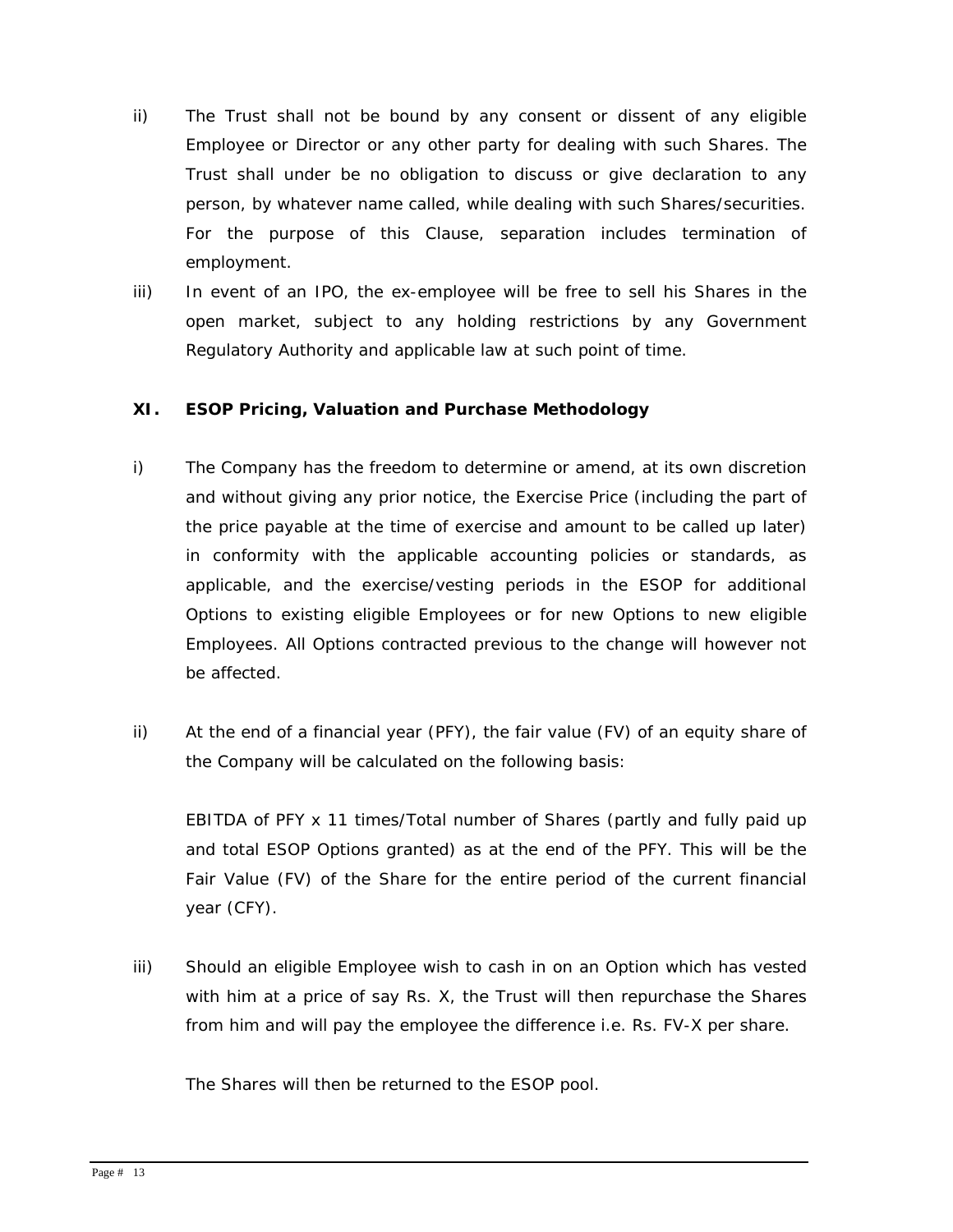- ii) The Trust shall not be bound by any consent or dissent of any eligible Employee or Director or any other party for dealing with such Shares. The Trust shall under be no obligation to discuss or give declaration to any person, by whatever name called, while dealing with such Shares/securities. For the purpose of this Clause, separation includes termination of employment.
- iii) In event of an IPO, the ex-employee will be free to sell his Shares in the open market, subject to any holding restrictions by any Government Regulatory Authority and applicable law at such point of time.

## **XI. ESOP Pricing, Valuation and Purchase Methodology**

- i) The Company has the freedom to determine or amend, at its own discretion and without giving any prior notice, the Exercise Price (including the part of the price payable at the time of exercise and amount to be called up later) in conformity with the applicable accounting policies or standards, as applicable, and the exercise/vesting periods in the ESOP for additional Options to existing eligible Employees or for new Options to new eligible Employees. All Options contracted previous to the change will however not be affected.
- ii) At the end of a financial year (PFY), the fair value (FV) of an equity share of the Company will be calculated on the following basis:

EBITDA of PFY x 11 times/Total number of Shares (partly and fully paid up and total ESOP Options granted) as at the end of the PFY. This will be the Fair Value (FV) of the Share for the entire period of the current financial year (CFY).

iii) Should an eligible Employee wish to cash in on an Option which has vested with him at a price of say Rs. X, the Trust will then repurchase the Shares from him and will pay the employee the difference i.e. Rs. FV-X per share.

The Shares will then be returned to the ESOP pool.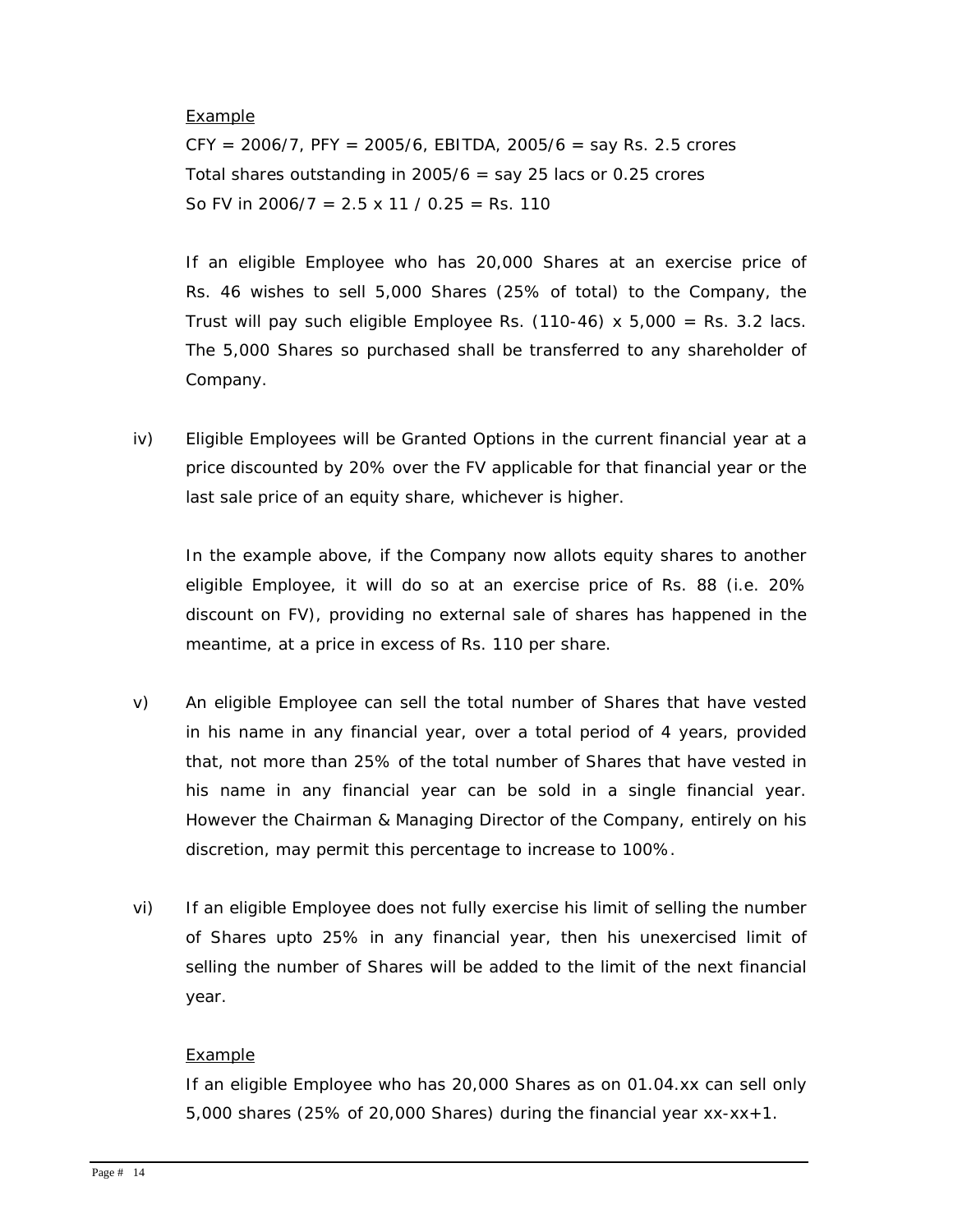#### Example

 $CFY = 2006/7$ ,  $PFY = 2005/6$ ,  $EBITDA$ ,  $2005/6 =$  say Rs. 2.5 crores Total shares outstanding in 2005/6  $=$  say 25 lacs or 0.25 crores So FV in  $2006/7 = 2.5 \times 11 / 0.25 =$  Rs. 110

If an eligible Employee who has 20,000 Shares at an exercise price of Rs. 46 wishes to sell 5,000 Shares (25% of total) to the Company, the Trust will pay such eligible Employee Rs.  $(110-46) \times 5,000 =$  Rs. 3.2 lacs. The 5,000 Shares so purchased shall be transferred to any shareholder of Company.

iv) Eligible Employees will be Granted Options in the current financial year at a price discounted by 20% over the FV applicable for that financial year or the last sale price of an equity share, whichever is higher.

In the example above, if the Company now allots equity shares to another eligible Employee, it will do so at an exercise price of Rs. 88 (i.e. 20% discount on FV), providing no external sale of shares has happened in the meantime, at a price in excess of Rs. 110 per share.

- v) An eligible Employee can sell the total number of Shares that have vested in his name in any financial year, over a total period of 4 years, provided that, not more than 25% of the total number of Shares that have vested in his name in any financial year can be sold in a single financial year. However the Chairman & Managing Director of the Company, entirely on his discretion, may permit this percentage to increase to 100%.
- vi) If an eligible Employee does not fully exercise his limit of selling the number of Shares upto 25% in any financial year, then his unexercised limit of selling the number of Shares will be added to the limit of the next financial year.

#### Example

If an eligible Employee who has 20,000 Shares as on 01.04.xx can sell only 5,000 shares (25% of 20,000 Shares) during the financial year xx-xx+1.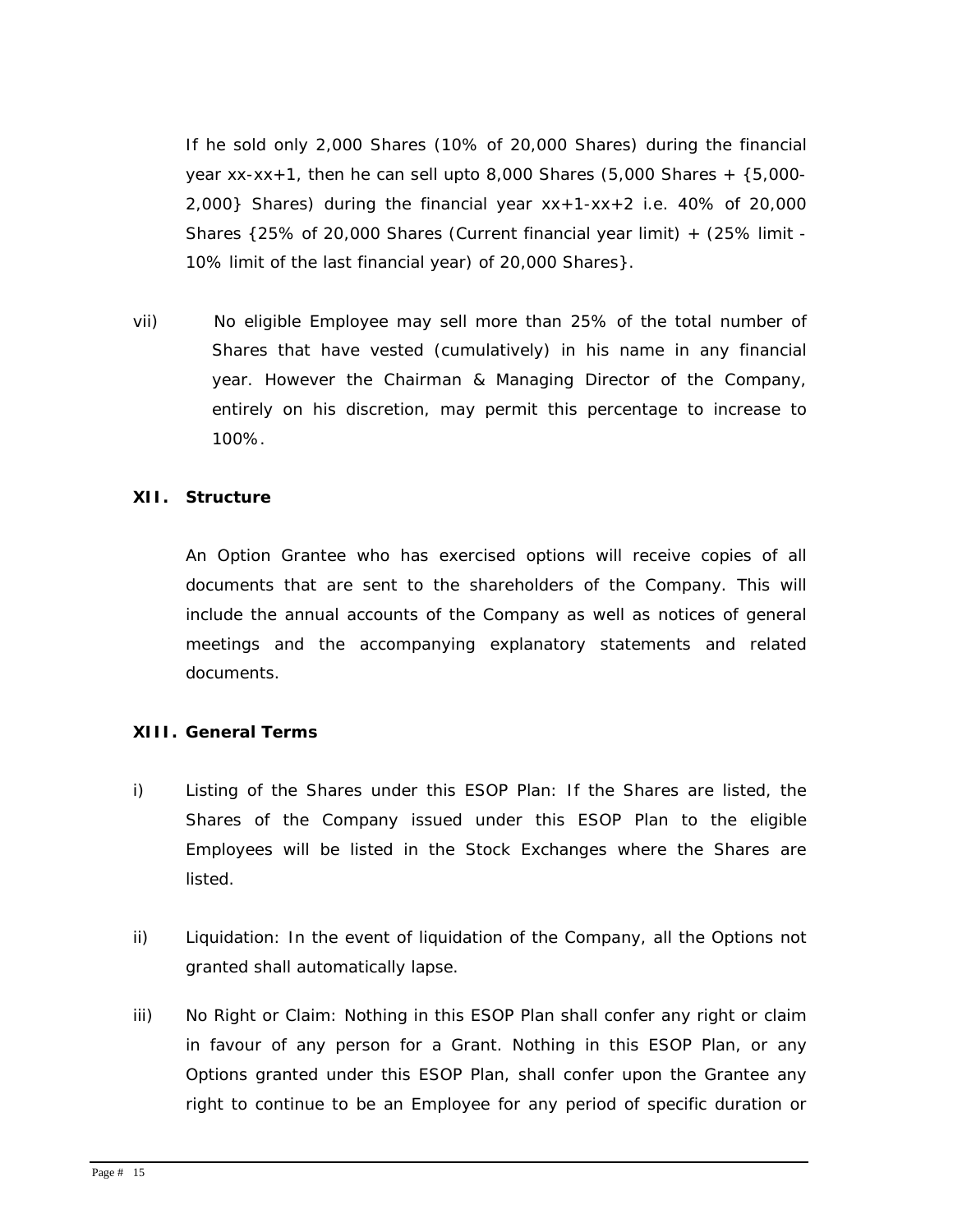If he sold only 2,000 Shares (10% of 20,000 Shares) during the financial year  $xx-xx+1$ , then he can sell upto 8,000 Shares (5,000 Shares +  $\{5,000 2,000$ } Shares) during the financial year  $xx+1-xx+2$  i.e. 40% of 20,000 Shares {25% of 20,000 Shares (Current financial year limit) + (25% limit - 10% limit of the last financial year) of 20,000 Shares}.

vii) No eligible Employee may sell more than 25% of the total number of Shares that have vested (cumulatively) in his name in any financial year. However the Chairman & Managing Director of the Company, entirely on his discretion, may permit this percentage to increase to 100%.

#### **XII. Structure**

An Option Grantee who has exercised options will receive copies of all documents that are sent to the shareholders of the Company. This will include the annual accounts of the Company as well as notices of general meetings and the accompanying explanatory statements and related documents.

#### **XIII. General Terms**

- i) Listing of the Shares under this ESOP Plan: If the Shares are listed, the Shares of the Company issued under this ESOP Plan to the eligible Employees will be listed in the Stock Exchanges where the Shares are listed.
- ii) Liquidation: In the event of liquidation of the Company, all the Options not granted shall automatically lapse.
- iii) No Right or Claim: Nothing in this ESOP Plan shall confer any right or claim in favour of any person for a Grant. Nothing in this ESOP Plan, or any Options granted under this ESOP Plan, shall confer upon the Grantee any right to continue to be an Employee for any period of specific duration or